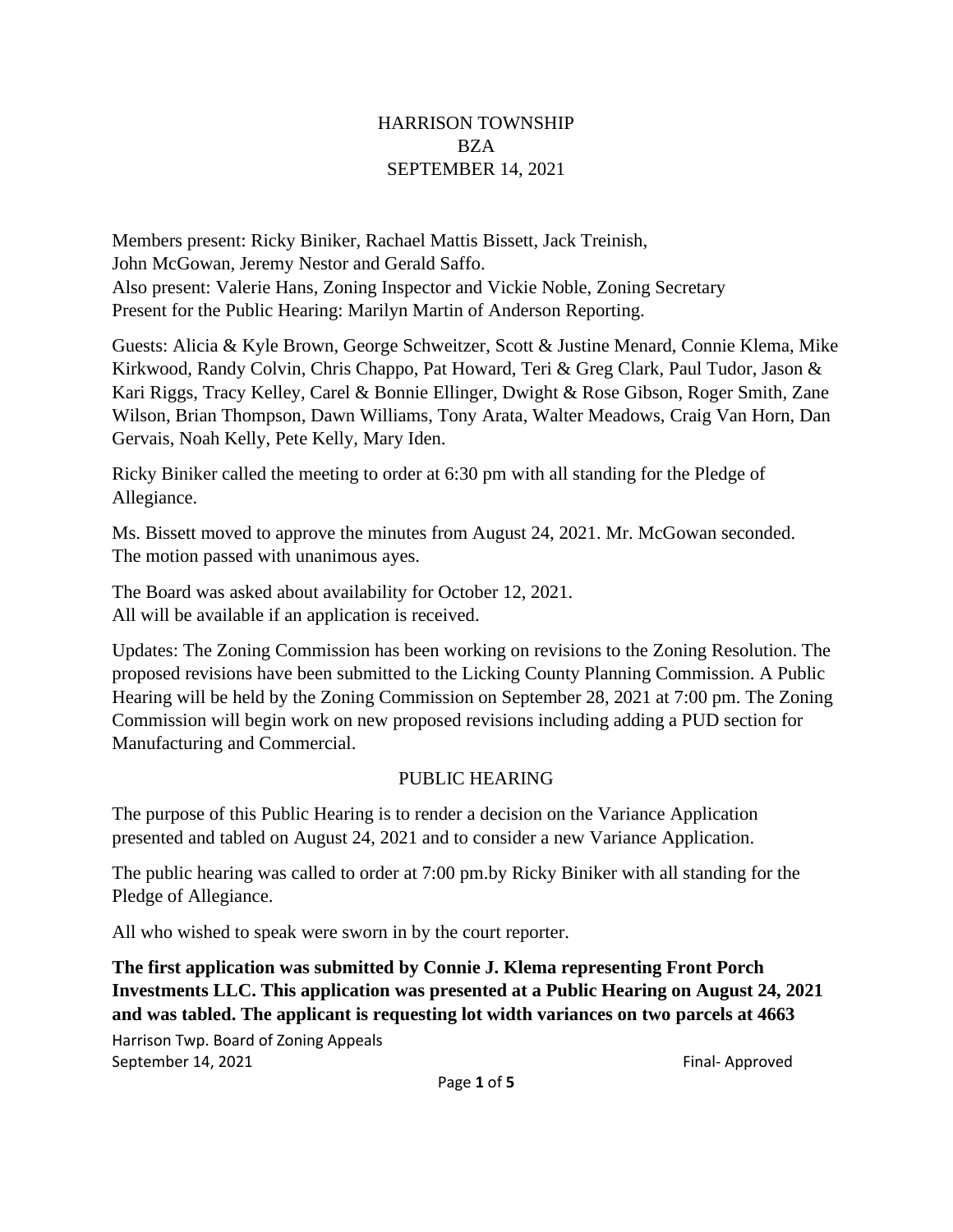#### HARRISON TOWNSHIP BZA SEPTEMBER 14, 2021

Members present: Ricky Biniker, Rachael Mattis Bissett, Jack Treinish, John McGowan, Jeremy Nestor and Gerald Saffo. Also present: Valerie Hans, Zoning Inspector and Vickie Noble, Zoning Secretary Present for the Public Hearing: Marilyn Martin of Anderson Reporting.

Guests: Alicia & Kyle Brown, George Schweitzer, Scott & Justine Menard, Connie Klema, Mike Kirkwood, Randy Colvin, Chris Chappo, Pat Howard, Teri & Greg Clark, Paul Tudor, Jason & Kari Riggs, Tracy Kelley, Carel & Bonnie Ellinger, Dwight & Rose Gibson, Roger Smith, Zane Wilson, Brian Thompson, Dawn Williams, Tony Arata, Walter Meadows, Craig Van Horn, Dan Gervais, Noah Kelly, Pete Kelly, Mary Iden.

Ricky Biniker called the meeting to order at 6:30 pm with all standing for the Pledge of Allegiance.

Ms. Bissett moved to approve the minutes from August 24, 2021. Mr. McGowan seconded. The motion passed with unanimous ayes.

The Board was asked about availability for October 12, 2021. All will be available if an application is received.

Updates: The Zoning Commission has been working on revisions to the Zoning Resolution. The proposed revisions have been submitted to the Licking County Planning Commission. A Public Hearing will be held by the Zoning Commission on September 28, 2021 at 7:00 pm. The Zoning Commission will begin work on new proposed revisions including adding a PUD section for Manufacturing and Commercial.

# PUBLIC HEARING

The purpose of this Public Hearing is to render a decision on the Variance Application presented and tabled on August 24, 2021 and to consider a new Variance Application.

The public hearing was called to order at 7:00 pm.by Ricky Biniker with all standing for the Pledge of Allegiance.

All who wished to speak were sworn in by the court reporter.

**The first application was submitted by Connie J. Klema representing Front Porch Investments LLC. This application was presented at a Public Hearing on August 24, 2021 and was tabled. The applicant is requesting lot width variances on two parcels at 4663**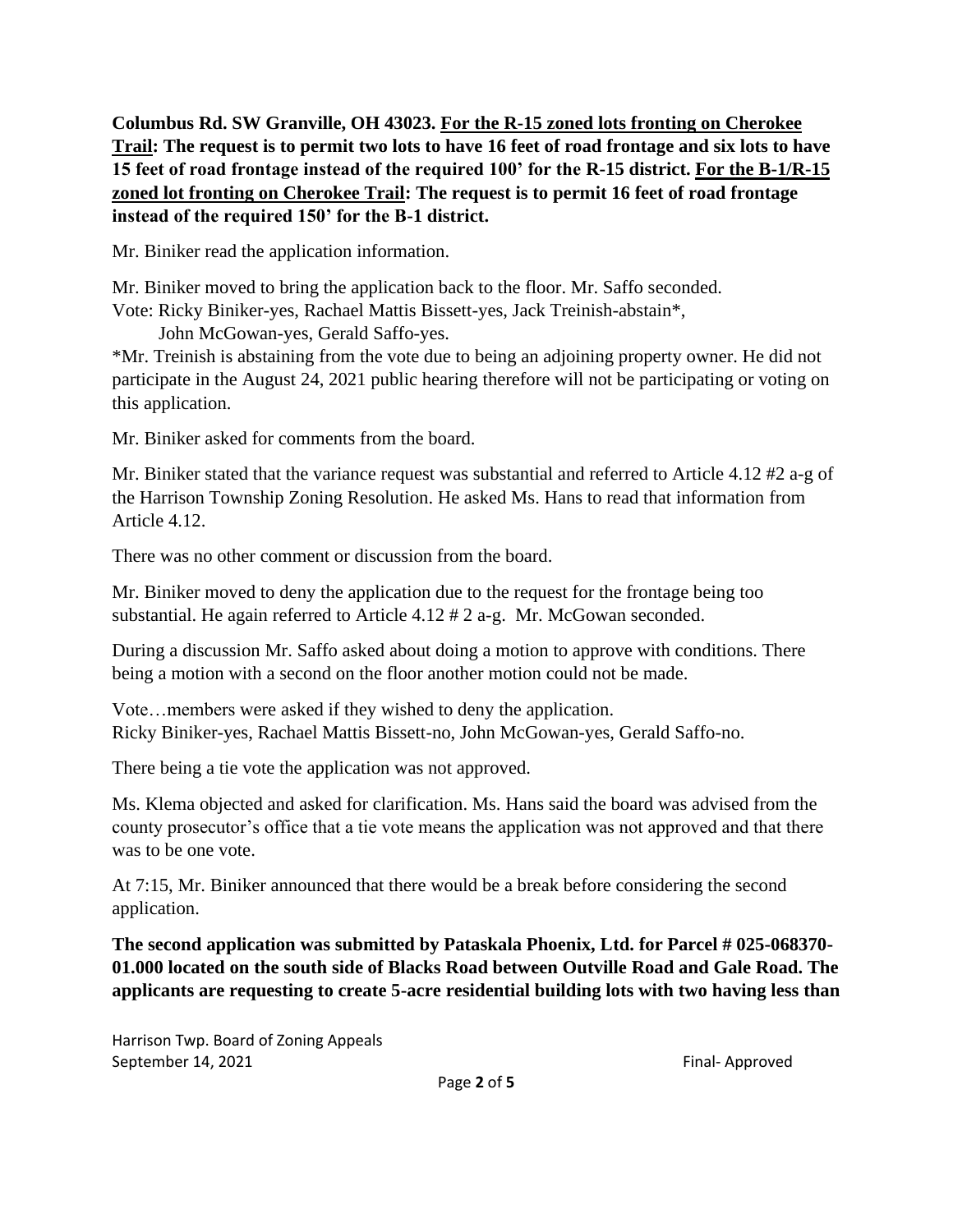**Columbus Rd. SW Granville, OH 43023. For the R-15 zoned lots fronting on Cherokee Trail: The request is to permit two lots to have 16 feet of road frontage and six lots to have 15 feet of road frontage instead of the required 100' for the R-15 district. For the B-1/R-15 zoned lot fronting on Cherokee Trail: The request is to permit 16 feet of road frontage instead of the required 150' for the B-1 district.**

Mr. Biniker read the application information.

Mr. Biniker moved to bring the application back to the floor. Mr. Saffo seconded. Vote: Ricky Biniker-yes, Rachael Mattis Bissett-yes, Jack Treinish-abstain\*,

John McGowan-yes, Gerald Saffo-yes.

\*Mr. Treinish is abstaining from the vote due to being an adjoining property owner. He did not participate in the August 24, 2021 public hearing therefore will not be participating or voting on this application.

Mr. Biniker asked for comments from the board.

Mr. Biniker stated that the variance request was substantial and referred to Article 4.12 #2 a-g of the Harrison Township Zoning Resolution. He asked Ms. Hans to read that information from Article 4.12.

There was no other comment or discussion from the board.

Mr. Biniker moved to deny the application due to the request for the frontage being too substantial. He again referred to Article 4.12 # 2 a-g. Mr. McGowan seconded.

During a discussion Mr. Saffo asked about doing a motion to approve with conditions. There being a motion with a second on the floor another motion could not be made.

Vote…members were asked if they wished to deny the application. Ricky Biniker-yes, Rachael Mattis Bissett-no, John McGowan-yes, Gerald Saffo-no.

There being a tie vote the application was not approved.

Ms. Klema objected and asked for clarification. Ms. Hans said the board was advised from the county prosecutor's office that a tie vote means the application was not approved and that there was to be one vote.

At 7:15, Mr. Biniker announced that there would be a break before considering the second application.

**The second application was submitted by Pataskala Phoenix, Ltd. for Parcel # 025-068370- 01.000 located on the south side of Blacks Road between Outville Road and Gale Road. The applicants are requesting to create 5-acre residential building lots with two having less than**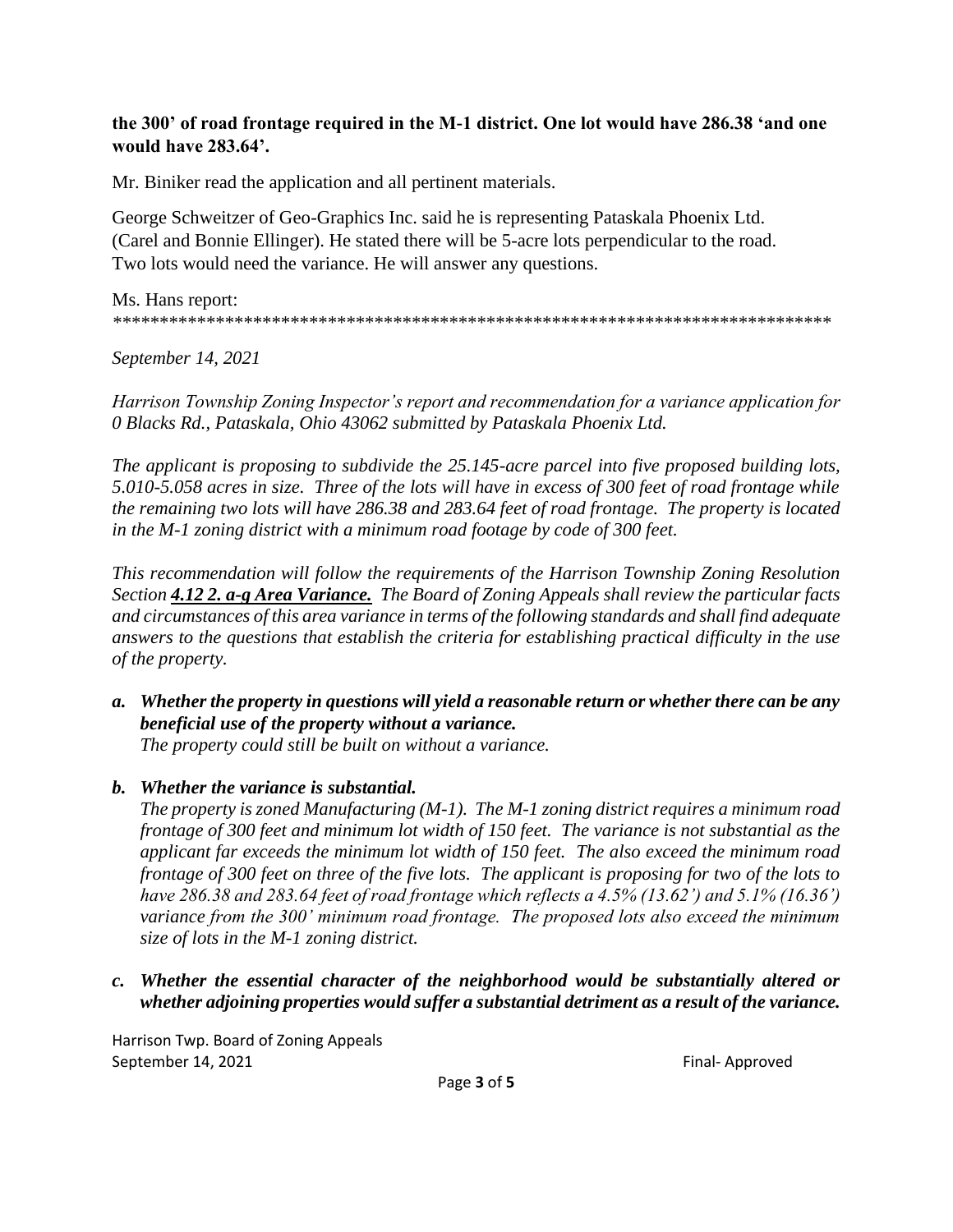#### **the 300' of road frontage required in the M-1 district. One lot would have 286.38 'and one would have 283.64'.**

Mr. Biniker read the application and all pertinent materials.

George Schweitzer of Geo-Graphics Inc. said he is representing Pataskala Phoenix Ltd. (Carel and Bonnie Ellinger). He stated there will be 5-acre lots perpendicular to the road. Two lots would need the variance. He will answer any questions.

Ms. Hans report: *\*\*\*\*\*\*\*\*\*\*\*\*\*\*\*\*\*\*\*\*\*\*\*\*\*\*\*\*\*\*\*\*\*\*\*\*\*\*\*\*\*\*\*\*\*\*\*\*\*\*\*\*\*\*\*\*\*\*\*\*\*\*\*\*\*\*\*\*\*\*\*\*\*\*\*\*\**

*September 14, 2021*

*Harrison Township Zoning Inspector's report and recommendation for a variance application for 0 Blacks Rd., Pataskala, Ohio 43062 submitted by Pataskala Phoenix Ltd.*

*The applicant is proposing to subdivide the 25.145-acre parcel into five proposed building lots, 5.010-5.058 acres in size. Three of the lots will have in excess of 300 feet of road frontage while the remaining two lots will have 286.38 and 283.64 feet of road frontage. The property is located in the M-1 zoning district with a minimum road footage by code of 300 feet.*

*This recommendation will follow the requirements of the Harrison Township Zoning Resolution Section 4.12 2. a-g Area Variance. The Board of Zoning Appeals shall review the particular facts and circumstances of this area variance in terms of the following standards and shall find adequate answers to the questions that establish the criteria for establishing practical difficulty in the use of the property.*

*a. Whether the property in questions will yield a reasonable return or whether there can be any beneficial use of the property without a variance.*

*The property could still be built on without a variance.*

# *b. Whether the variance is substantial.*

*The property is zoned Manufacturing (M-1). The M-1 zoning district requires a minimum road frontage of 300 feet and minimum lot width of 150 feet. The variance is not substantial as the applicant far exceeds the minimum lot width of 150 feet. The also exceed the minimum road frontage of 300 feet on three of the five lots. The applicant is proposing for two of the lots to have 286.38 and 283.64 feet of road frontage which reflects a 4.5% (13.62') and 5.1% (16.36') variance from the 300' minimum road frontage. The proposed lots also exceed the minimum size of lots in the M-1 zoning district.*

*c. Whether the essential character of the neighborhood would be substantially altered or whether adjoining properties would suffer a substantial detriment as a result of the variance.*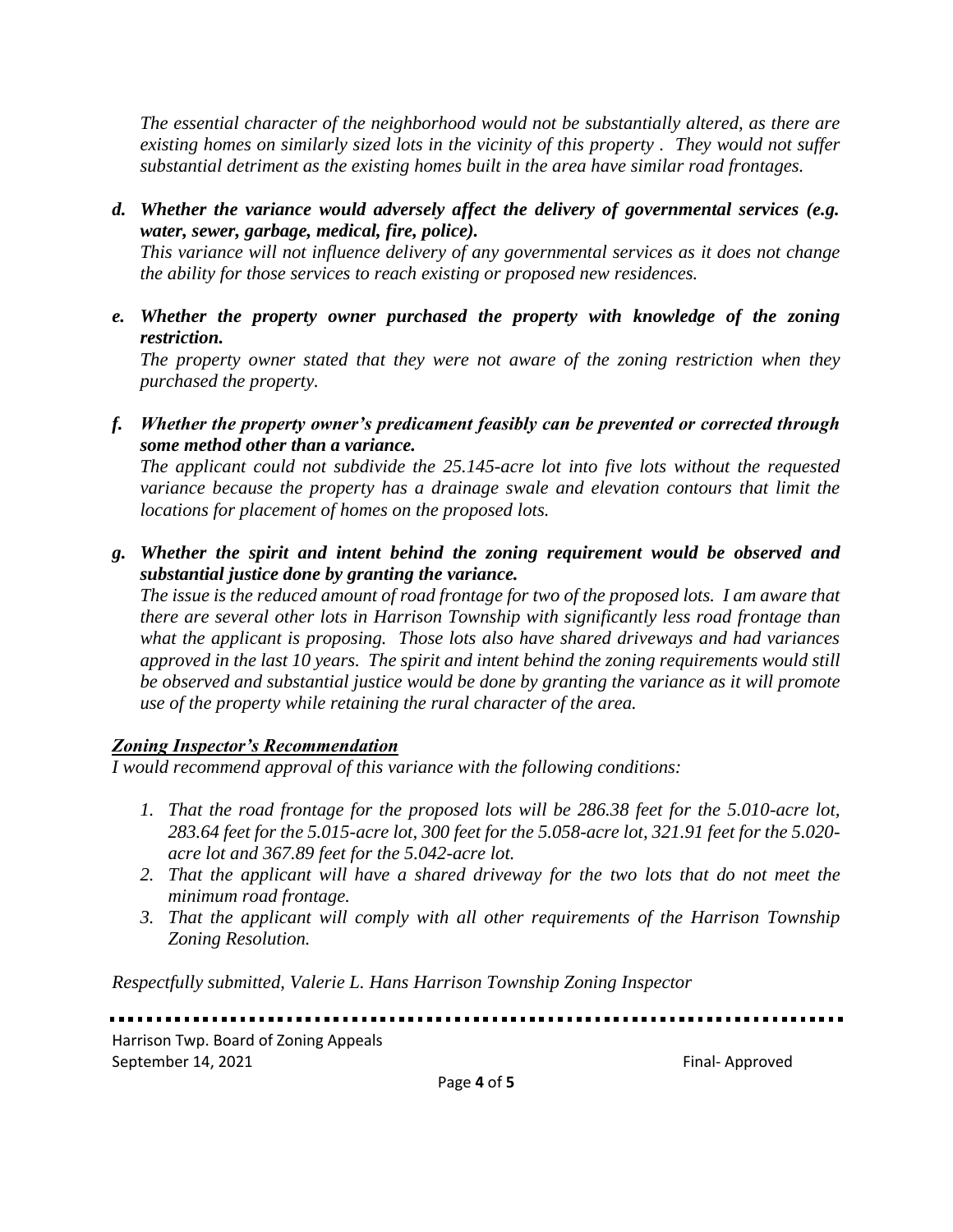*The essential character of the neighborhood would not be substantially altered, as there are existing homes on similarly sized lots in the vicinity of this property . They would not suffer substantial detriment as the existing homes built in the area have similar road frontages.*

*d. Whether the variance would adversely affect the delivery of governmental services (e.g. water, sewer, garbage, medical, fire, police).*

*This variance will not influence delivery of any governmental services as it does not change the ability for those services to reach existing or proposed new residences.*

*e. Whether the property owner purchased the property with knowledge of the zoning restriction.*

*The property owner stated that they were not aware of the zoning restriction when they purchased the property.*

*f. Whether the property owner's predicament feasibly can be prevented or corrected through some method other than a variance.*

*The applicant could not subdivide the 25.145-acre lot into five lots without the requested variance because the property has a drainage swale and elevation contours that limit the locations for placement of homes on the proposed lots.*

*g. Whether the spirit and intent behind the zoning requirement would be observed and substantial justice done by granting the variance.*

*The issue is the reduced amount of road frontage for two of the proposed lots. I am aware that there are several other lots in Harrison Township with significantly less road frontage than what the applicant is proposing. Those lots also have shared driveways and had variances approved in the last 10 years. The spirit and intent behind the zoning requirements would still be observed and substantial justice would be done by granting the variance as it will promote use of the property while retaining the rural character of the area.*

# *Zoning Inspector's Recommendation*

*I would recommend approval of this variance with the following conditions:*

- *1. That the road frontage for the proposed lots will be 286.38 feet for the 5.010-acre lot, 283.64 feet for the 5.015-acre lot, 300 feet for the 5.058-acre lot, 321.91 feet for the 5.020 acre lot and 367.89 feet for the 5.042-acre lot.*
- *2. That the applicant will have a shared driveway for the two lots that do not meet the minimum road frontage.*
- *3. That the applicant will comply with all other requirements of the Harrison Township Zoning Resolution.*

*Respectfully submitted, Valerie L. Hans Harrison Township Zoning Inspector*